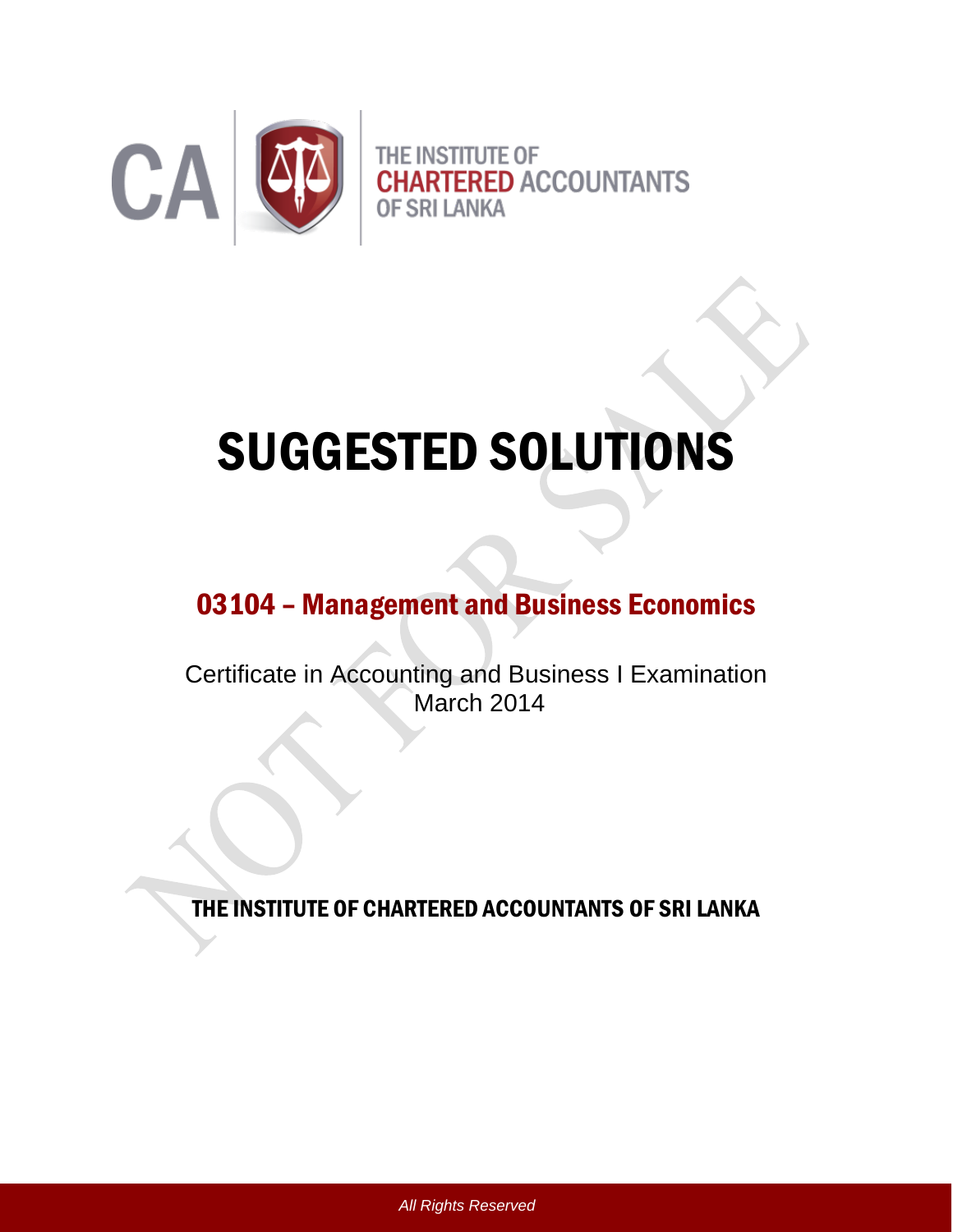

# SUGGESTED SOLUTIONS

# 03104 – Management and Business Economics

Certificate in Accounting and Business I Examination March 2014

THE INSTITUTE OF CHARTERED ACCOUNTANTS OF SRI LANKA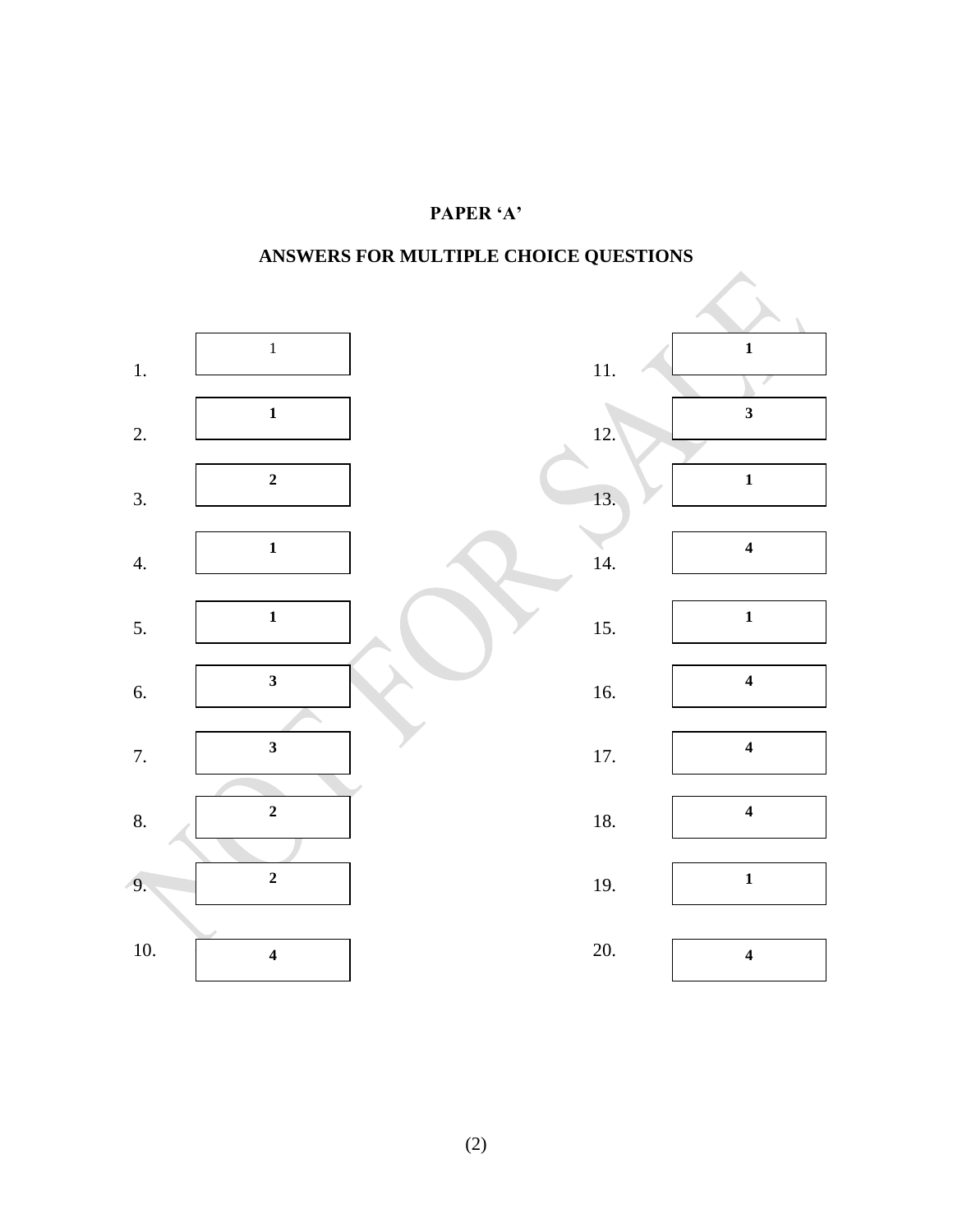## **PAPER 'A'**

**ANSWERS FOR MULTIPLE CHOICE QUESTIONS**

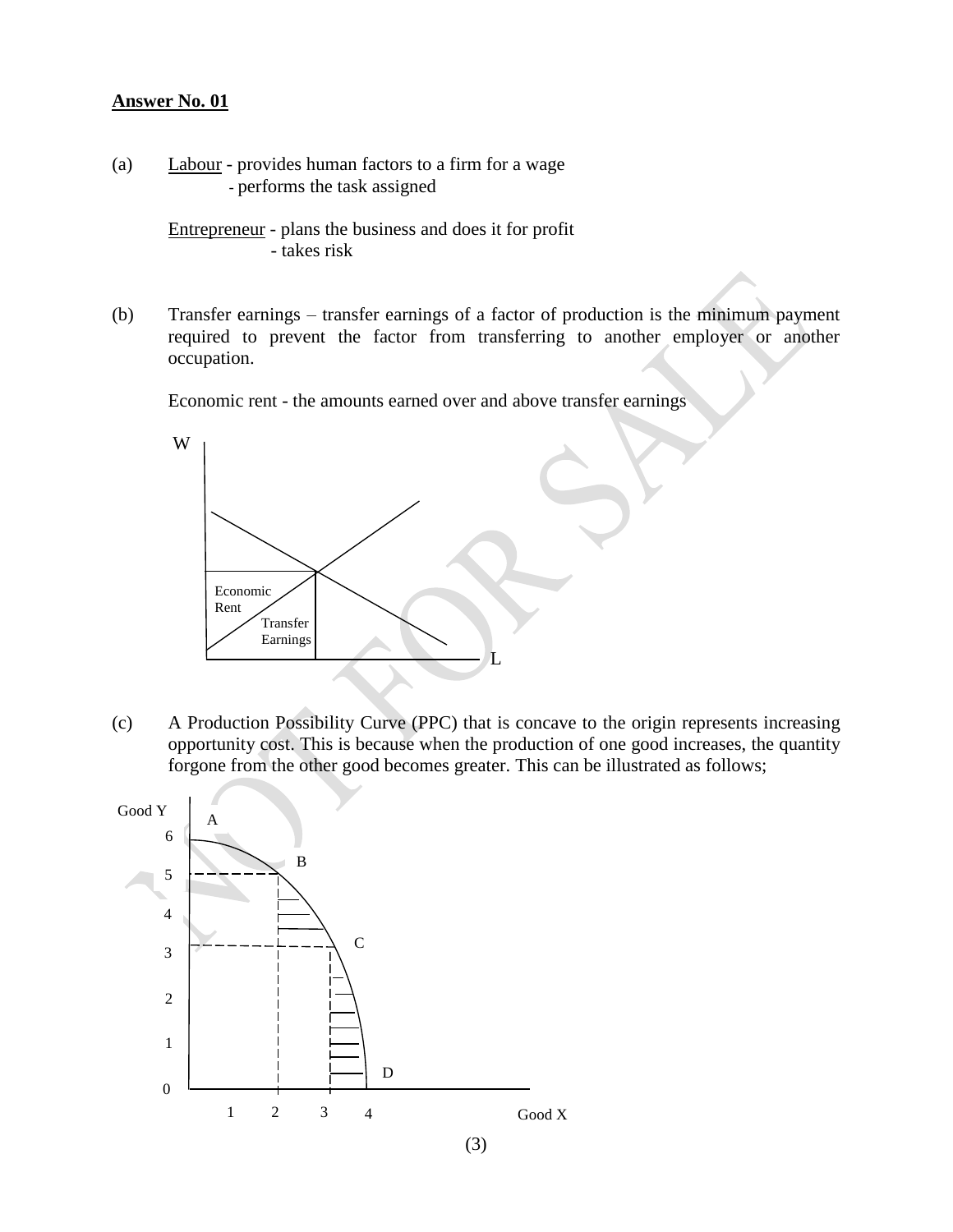(a) Labour - provides human factors to a firm for a wage - performs the task assigned

> Entrepreneur - plans the business and does it for profit - takes risk

(b) Transfer earnings – transfer earnings of a factor of production is the minimum payment required to prevent the factor from transferring to another employer or another occupation.

Economic rent - the amounts earned over and above transfer earnings



(c) A Production Possibility Curve (PPC) that is concave to the origin represents increasing opportunity cost. This is because when the production of one good increases, the quantity forgone from the other good becomes greater. This can be illustrated as follows;



```
(3)
```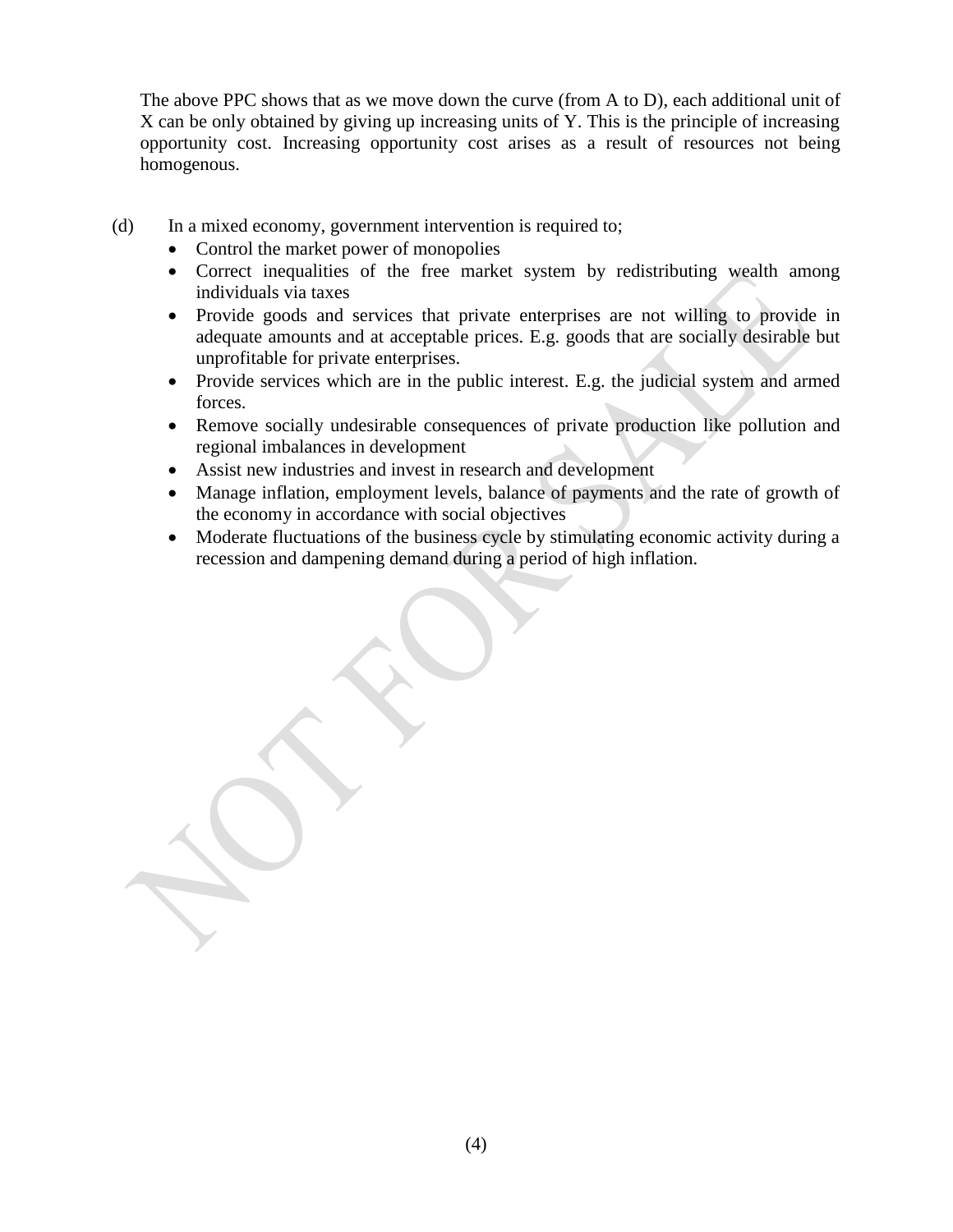The above PPC shows that as we move down the curve (from A to D), each additional unit of X can be only obtained by giving up increasing units of Y. This is the principle of increasing opportunity cost. Increasing opportunity cost arises as a result of resources not being homogenous.

- (d) In a mixed economy, government intervention is required to;
	- Control the market power of monopolies
	- Correct inequalities of the free market system by redistributing wealth among individuals via taxes
	- Provide goods and services that private enterprises are not willing to provide in adequate amounts and at acceptable prices. E.g. goods that are socially desirable but unprofitable for private enterprises.
	- Provide services which are in the public interest. E.g. the judicial system and armed forces.
	- Remove socially undesirable consequences of private production like pollution and regional imbalances in development
	- Assist new industries and invest in research and development
	- Manage inflation, employment levels, balance of payments and the rate of growth of the economy in accordance with social objectives
	- Moderate fluctuations of the business cycle by stimulating economic activity during a recession and dampening demand during a period of high inflation.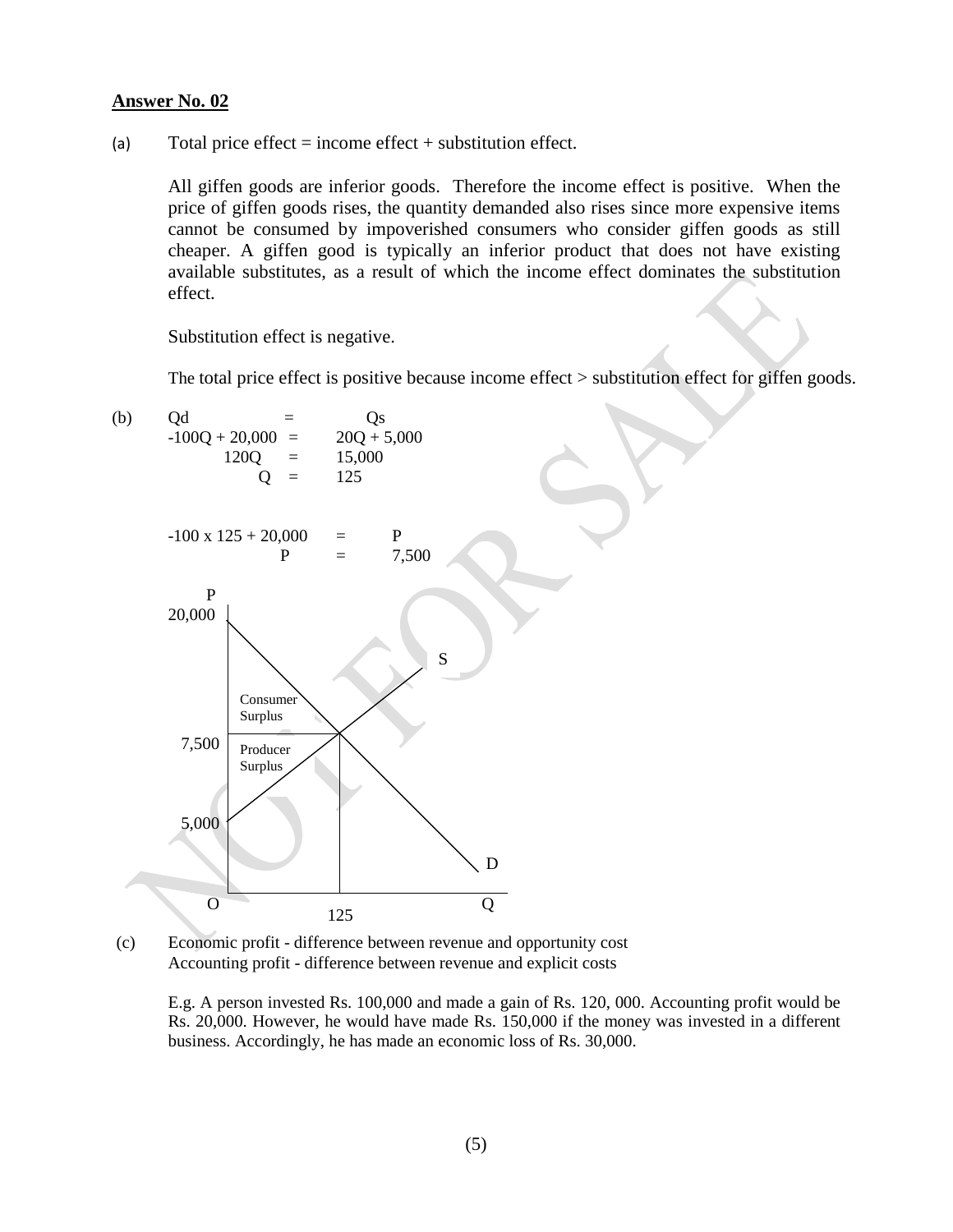(a) Total price effect = income effect + substitution effect.

All giffen goods are inferior goods. Therefore the income effect is positive. When the price of giffen goods rises, the quantity demanded also rises since more expensive items cannot be consumed by impoverished consumers who consider giffen goods as still cheaper. A giffen good is typically an inferior product that does not have existing available substitutes, as a result of which the income effect dominates the substitution effect.

Substitution effect is negative.

The total price effect is positive because income effect > substitution effect for giffen goods.



(c) Economic profit - difference between revenue and opportunity cost 5Accounting profit - difference between revenue and explicit costs

E.g. A person invested Rs. 100,000 and made a gain of Rs. 120, 000. Accounting profit would be Rs. 20,000. However, he would have made Rs. 150,000 if the money was invested in a different business. Accordingly, he has made an economic loss of Rs. 30,000.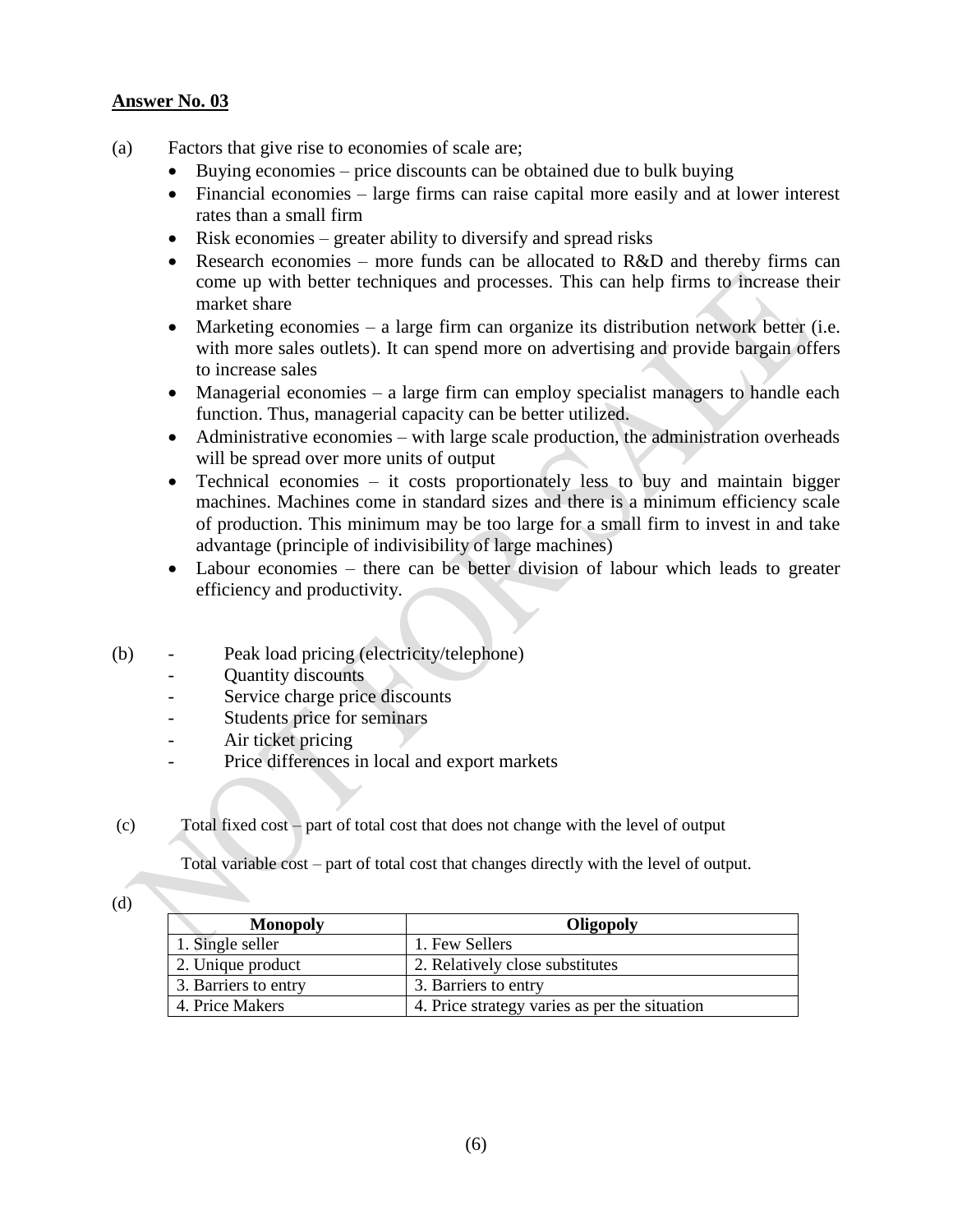- (a) Factors that give rise to economies of scale are;
	- Buying economies price discounts can be obtained due to bulk buying
	- Financial economies large firms can raise capital more easily and at lower interest rates than a small firm
	- Risk economies greater ability to diversify and spread risks
	- Research economies more funds can be allocated to R&D and thereby firms can come up with better techniques and processes. This can help firms to increase their market share
	- Marketing economies a large firm can organize its distribution network better (i.e. with more sales outlets). It can spend more on advertising and provide bargain offers to increase sales
	- Managerial economies a large firm can employ specialist managers to handle each function. Thus, managerial capacity can be better utilized.
	- Administrative economies with large scale production, the administration overheads will be spread over more units of output
	- Technical economies it costs proportionately less to buy and maintain bigger machines. Machines come in standard sizes and there is a minimum efficiency scale of production. This minimum may be too large for a small firm to invest in and take advantage (principle of indivisibility of large machines)
	- Labour economies there can be better division of labour which leads to greater efficiency and productivity.
- (b) Peak load pricing (electricity/telephone)
	- Quantity discounts
	- Service charge price discounts
	- Students price for seminars
	- Air ticket pricing
	- Price differences in local and export markets
- (c) Total fixed cost part of total cost that does not change with the level of output

Total variable cost – part of total cost that changes directly with the level of output.

(d)

| <b>Monopoly</b>      | Oligopoly                                     |
|----------------------|-----------------------------------------------|
| 1. Single seller     | 1. Few Sellers                                |
| 2. Unique product    | 2. Relatively close substitutes               |
| 3. Barriers to entry | 3. Barriers to entry                          |
| 4. Price Makers      | 4. Price strategy varies as per the situation |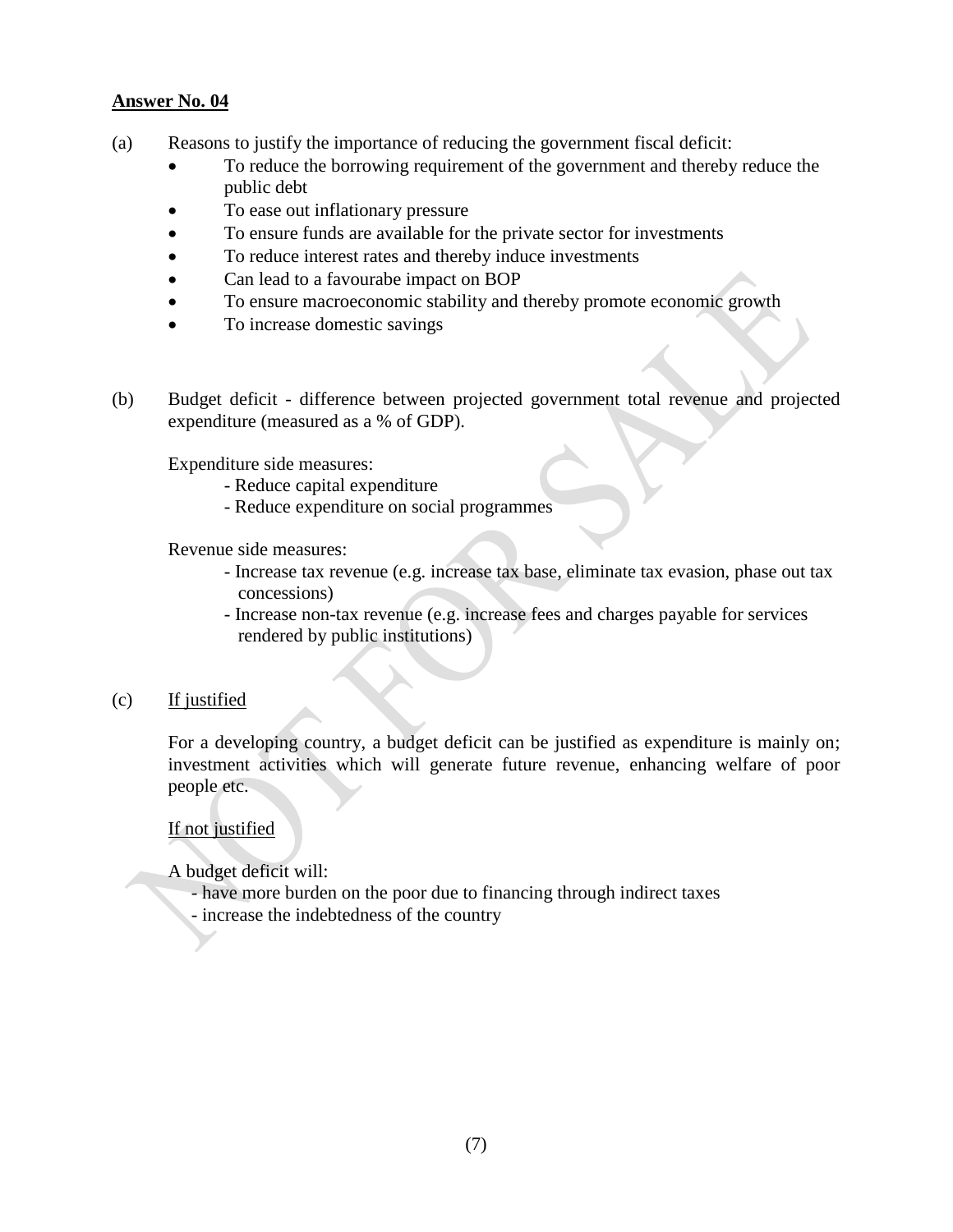- (a) Reasons to justify the importance of reducing the government fiscal deficit:
	- To reduce the borrowing requirement of the government and thereby reduce the public debt
	- To ease out inflationary pressure
	- To ensure funds are available for the private sector for investments
	- To reduce interest rates and thereby induce investments
	- Can lead to a favourabe impact on BOP
	- To ensure macroeconomic stability and thereby promote economic growth
	- To increase domestic savings
- (b) Budget deficit difference between projected government total revenue and projected expenditure (measured as a % of GDP).

Expenditure side measures:

- Reduce capital expenditure
- Reduce expenditure on social programmes

Revenue side measures:

- Increase tax revenue (e.g. increase tax base, eliminate tax evasion, phase out tax concessions)
- Increase non-tax revenue (e.g. increase fees and charges payable for services rendered by public institutions)

#### (c) If justified

For a developing country, a budget deficit can be justified as expenditure is mainly on; investment activities which will generate future revenue, enhancing welfare of poor people etc.

If not justified

A budget deficit will:

- have more burden on the poor due to financing through indirect taxes
- increase the indebtedness of the country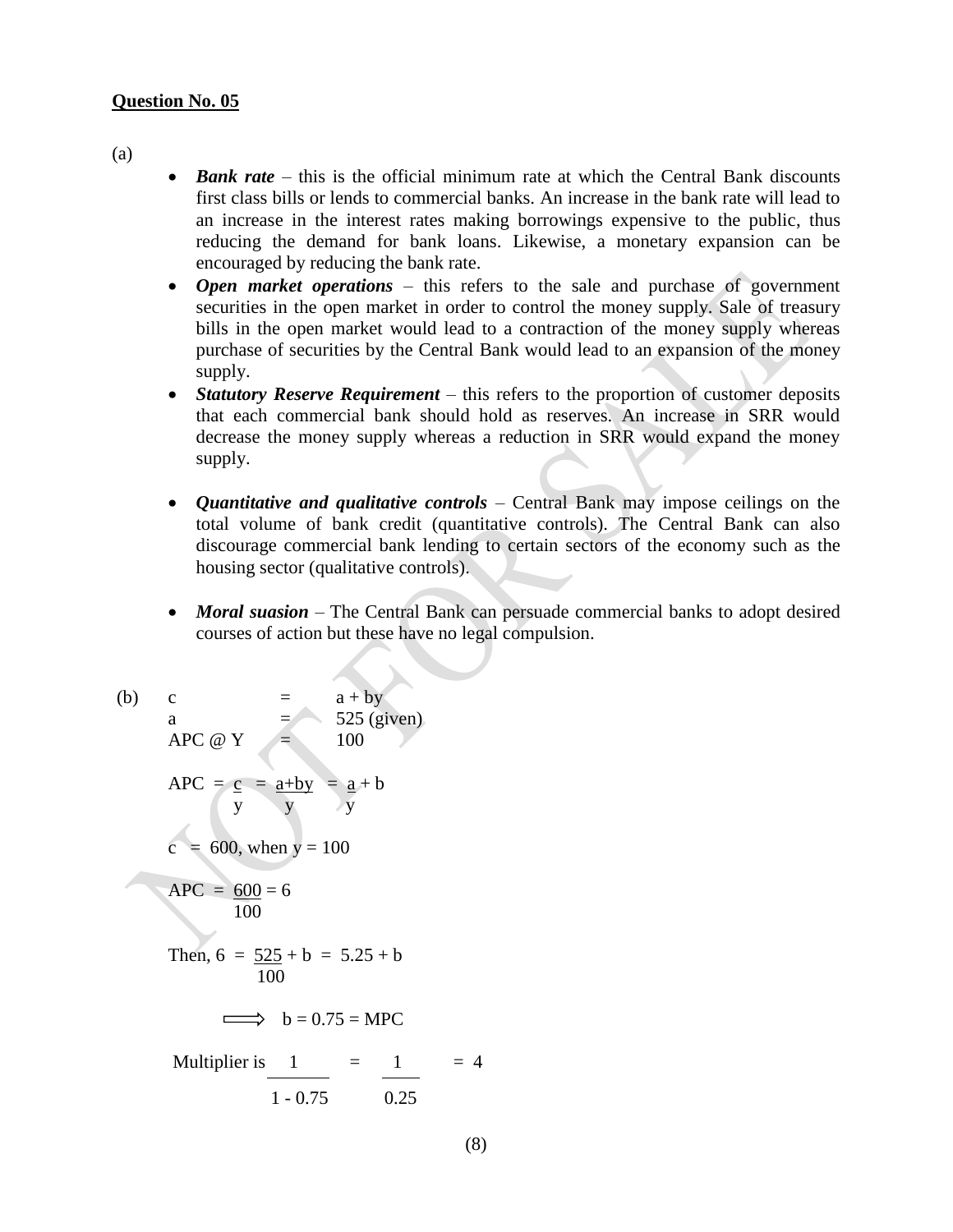#### **Question No. 05**

(a)

- *Bank rate* this is the official minimum rate at which the Central Bank discounts first class bills or lends to commercial banks. An increase in the bank rate will lead to an increase in the interest rates making borrowings expensive to the public, thus reducing the demand for bank loans. Likewise, a monetary expansion can be encouraged by reducing the bank rate.
- *Open market operations* this refers to the sale and purchase of government securities in the open market in order to control the money supply. Sale of treasury bills in the open market would lead to a contraction of the money supply whereas purchase of securities by the Central Bank would lead to an expansion of the money supply.
- *Statutory Reserve Requirement* this refers to the proportion of customer deposits that each commercial bank should hold as reserves. An increase in SRR would decrease the money supply whereas a reduction in SRR would expand the money supply.
- *Quantitative and qualitative controls* Central Bank may impose ceilings on the total volume of bank credit (quantitative controls). The Central Bank can also discourage commercial bank lending to certain sectors of the economy such as the housing sector (qualitative controls).
- *Moral suasion* The Central Bank can persuade commercial banks to adopt desired courses of action but these have no legal compulsion.

(b) c = 
$$
a + by
$$
  
\na =  $525$  (given)  
\nAPC  $\omega$  Y = 100  
\nAPC =  $\frac{c}{y} = \frac{a+by}{y} = \frac{a}{y} + b$   
\nc = 600, when y = 100  
\nAPC =  $\frac{600}{100} = 6$   
\nThen,  $6 = \frac{525}{100} + b = 5.25 + b$   
\n $\implies b = 0.75 = \text{MPC}$   
\nMultiplier is  $\frac{1}{1 - 0.75} = \frac{1}{0.25} = 4$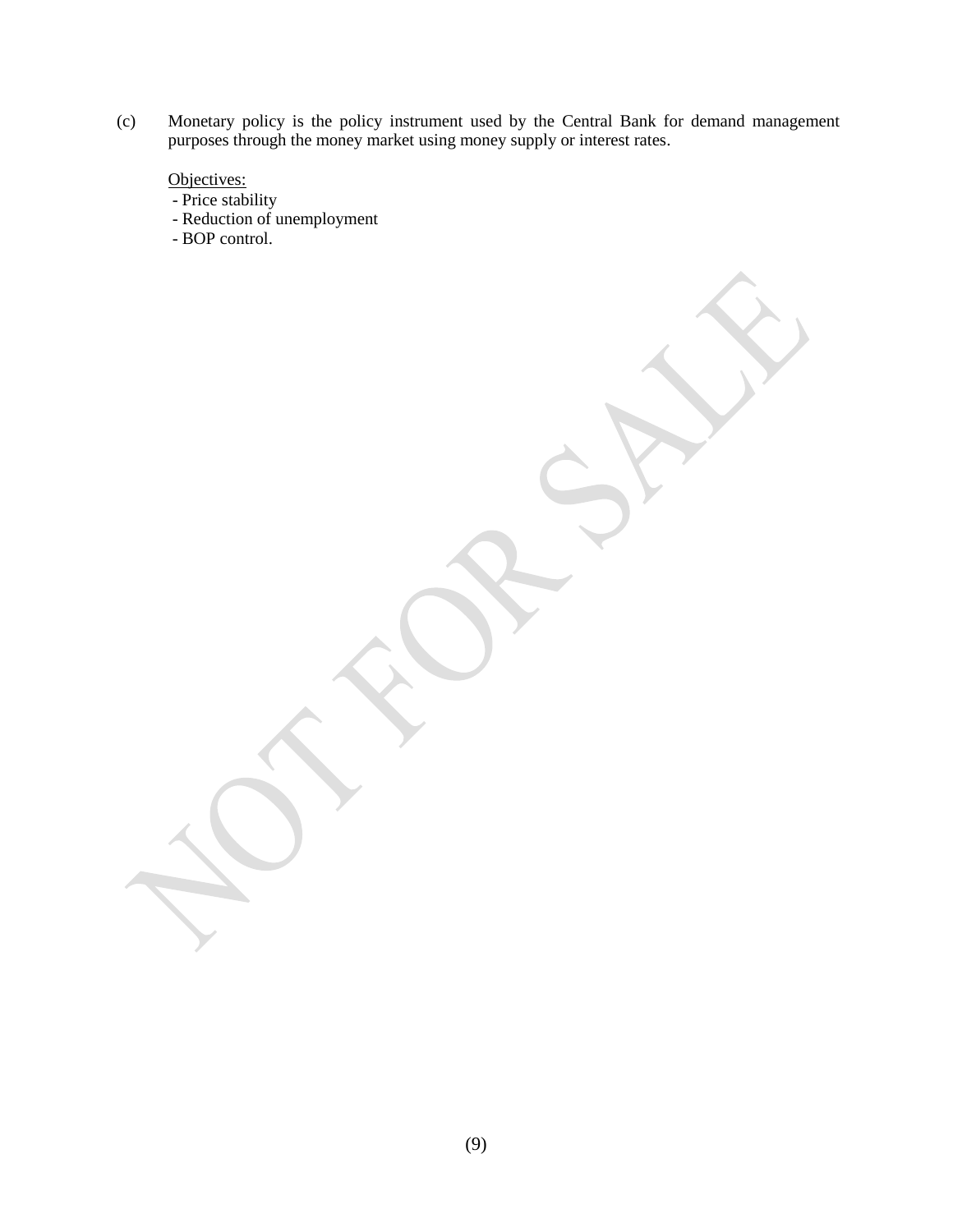(c) Monetary policy is the policy instrument used by the Central Bank for demand management purposes through the money market using money supply or interest rates.

Objectives:

- Price stability

- Reduction of unemployment
- BOP control.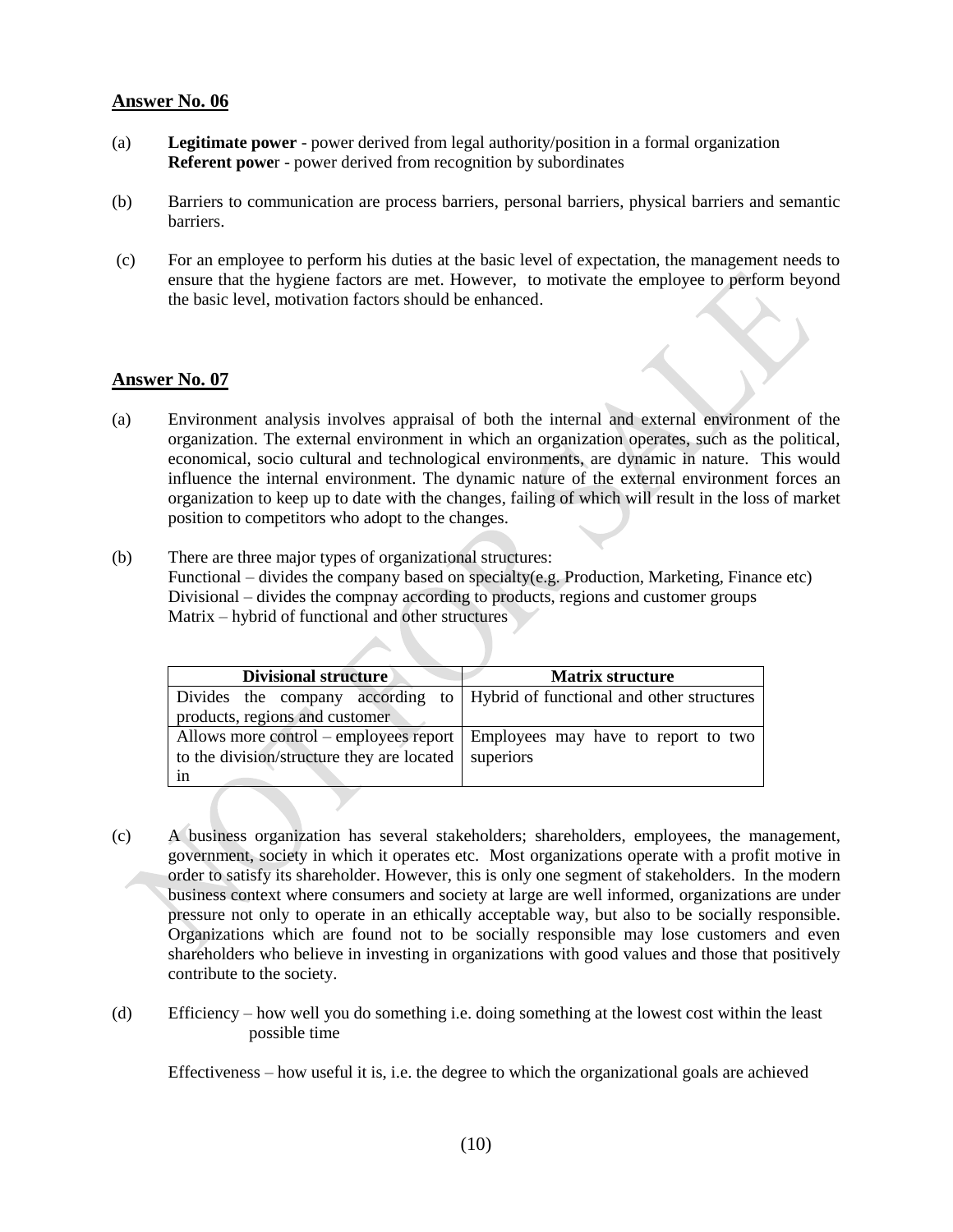- (a) **Legitimate power**  power derived from legal authority/position in a formal organization **Referent powe**r - power derived from recognition by subordinates
- (b) Barriers to communication are process barriers, personal barriers, physical barriers and semantic barriers.
- (c) For an employee to perform his duties at the basic level of expectation, the management needs to ensure that the hygiene factors are met. However, to motivate the employee to perform beyond the basic level, motivation factors should be enhanced.

#### **Answer No. 07**

- (a) Environment analysis involves appraisal of both the internal and external environment of the organization. The external environment in which an organization operates, such as the political, economical, socio cultural and technological environments, are dynamic in nature. This would influence the internal environment. The dynamic nature of the external environment forces an organization to keep up to date with the changes, failing of which will result in the loss of market position to competitors who adopt to the changes.
- (b) There are three major types of organizational structures: Functional – divides the company based on specialty(e.g. Production, Marketing, Finance etc) Divisional – divides the compnay according to products, regions and customer groups Matrix – hybrid of functional and other structures

| <b>Divisional structure</b>                | <b>Matrix structure</b>                                                      |
|--------------------------------------------|------------------------------------------------------------------------------|
|                                            | Divides the company according to   Hybrid of functional and other structures |
| products, regions and customer             |                                                                              |
|                                            | Allows more control – employees report   Employees may have to report to two |
| to the division/structure they are located | superiors                                                                    |
| 1n                                         |                                                                              |

- (c) A business organization has several stakeholders; shareholders, employees, the management, government, society in which it operates etc. Most organizations operate with a profit motive in order to satisfy its shareholder. However, this is only one segment of stakeholders. In the modern business context where consumers and society at large are well informed, organizations are under pressure not only to operate in an ethically acceptable way, but also to be socially responsible. Organizations which are found not to be socially responsible may lose customers and even shareholders who believe in investing in organizations with good values and those that positively contribute to the society.
- (d) Efficiency how well you do something i.e. doing something at the lowest cost within the least possible time

Effectiveness – how useful it is, i.e. the degree to which the organizational goals are achieved